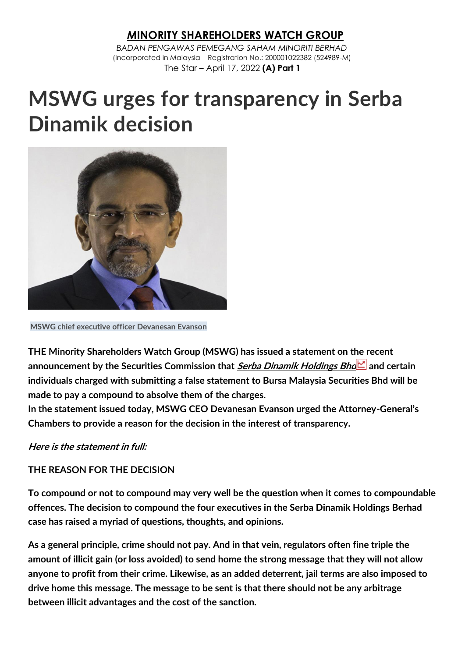## *M***INORITY SHAREHOLDERS WATCH GROUP**

*BADAN PENGAWAS PEMEGANG SAHAM MINORITI BERHAD* (Incorporated in Malaysia – Registration No.: 200001022382 (524989-M) The Star – April 17, 2022 **(A) Part 1**

# **MSWG urges for transparency in Serba Dinamik decision**



**MSWG chief executive officer Devanesan Evanson**

THE Minority Shareholders Watch Group (MSWG) has issued a statement on the recent announcement by the Securities Commission that <u>*Serba Dinamik [Holdings](https://www.thestar.com.my/business/marketwatch/stocks/?qcounter=SERBADK) Bh[d](http://charts.thestar.com.my/?s=SERBADK)* a</u>nd certain individuals charged with submitting a false statement to Bursa Malaysia Securities Bhd will be made to pay a compound to absolve them of the charges.

In the statement issued today, MSWG CEO Devanesan Evanson urged the Attorney-General's Chambers to provide a reason for the decision in the interest of transparency.

Here is the statement in full:

#### THE REASON FOR THE DECISION

To compound or not to compound may very well be the question when it comes to compoundable offences. The decision to compound the four executives in the Serba Dinamik Holdings Berhad case has raised a myriad of questions, thoughts, and opinions.

As a general principle, crime should not pay. And in that vein, regulators often fine triple the amount of illicit gain (or loss avoided) to send home the strong message that they will not allow anyone to profit from their crime. Likewise, as an added deterrent, jail terms are also imposed to drive home this message. The message to be sent is that there should not be any arbitrage between illicit advantages and the cost of the sanction.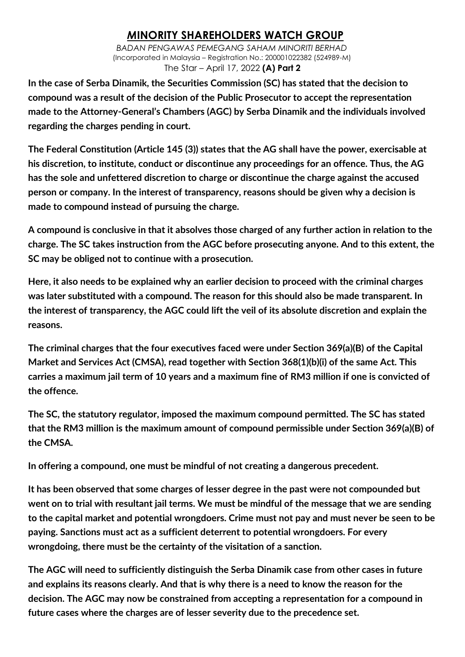## *M***INORITY SHAREHOLDERS WATCH GROUP**

*BADAN PENGAWAS PEMEGANG SAHAM MINORITI BERHAD* (Incorporated in Malaysia – Registration No.: 200001022382 (524989-M) The Star – April 17, 2022 **(A) Part 2**

In the case of Serba Dinamik, the Securities Commission (SC) has stated that the decision to compound was a result of the decision of the Public Prosecutor to accept the representation made to the Attorney-General's Chambers (AGC) by Serba Dinamik and the individuals involved regarding the charges pending in court.

The Federal Constitution (Article 145 (3)) states that the AG shall have the power, exercisable at his discretion, to institute, conduct or discontinue any proceedings for an offence. Thus, the AG has the sole and unfettered discretion to charge or discontinue the charge against the accused person or company. In the interest of transparency, reasons should be given why a decision is made to compound instead of pursuing the charge.

A compound is conclusive in that it absolves those charged of any further action in relation to the charge. The SC takes instruction from the AGC before prosecuting anyone. And to this extent, the SC may be obliged not to continue with a prosecution.

Here, it also needs to be explained why an earlier decision to proceed with the criminal charges was later substituted with a compound. The reason for this should also be made transparent. In the interest of transparency, the AGC could lift the veil of its absolute discretion and explain the reasons.

The criminal charges that the four executives faced were under Section 369(a)(B) of the Capital Market and Services Act (CMSA), read together with Section 368(1)(b)(i) of the same Act. This carries a maximum jail term of 10 years and a maximum fine of RM3 million if one is convicted of the offence.

The SC, the statutory regulator, imposed the maximum compound permitted. The SC has stated that the RM3 million is the maximum amount of compound permissible under Section 369(a)(B) of the CMSA.

In offering a compound, one must be mindful of not creating a dangerous precedent.

It has been observed that some charges of lesser degree in the past were not compounded but went on to trial with resultant jail terms. We must be mindful of the message that we are sending to the capital market and potential wrongdoers. Crime must not pay and must never be seen to be paying. Sanctions must act as a sufficient deterrent to potential wrongdoers. For every wrongdoing, there must be the certainty of the visitation of a sanction.

The AGC will need to sufficiently distinguish the Serba Dinamik case from other cases in future and explains its reasons clearly. And that is why there is a need to know the reason for the decision. The AGC may now be constrained from accepting a representation for a compound in future cases where the charges are of lesser severity due to the precedence set.